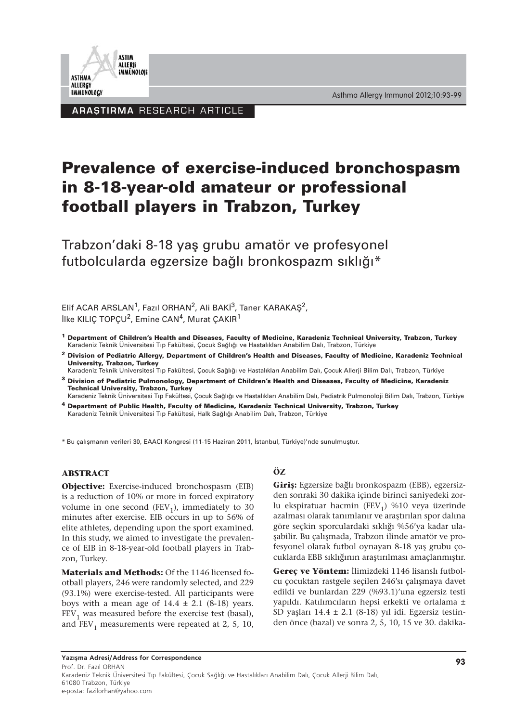

Asthma Allergy Immunol 2012;10:93-99

ARASTIRMA RESEARCH ARTICLE

# **Prevalence of exercise-induced bronchospasm in 8-18-year-old amateur or professional football players in Trabzon, Turkey**

Trabzon'daki 8-18 yaş grubu amatör ve profesyonel futbolcularda egzersize bağlı bronkospazm sıklığı\*

Elif ACAR ARSLAN<sup>1</sup>, Fazıl ORHAN<sup>2</sup>, Ali BAKİ<sup>3</sup>, Taner KARAKAŞ<sup>2</sup>, İlke KILIÇ TOPÇU<sup>2</sup>, Emine CAN<sup>4</sup>, Murat ÇAKIR<sup>1</sup>

- **<sup>1</sup> Department of Children's Health and Diseases, Faculty of Medicine, Karadeniz Technical University, Trabzon, Turkey**  Karadeniz Teknik Üniversitesi Tıp Fakültesi, Çocuk Sağlığı ve Hastalıkları Anabilim Dalı, Trabzon, Türkiye
- **<sup>2</sup> Division of Pediatric Allergy, Department of Children's Health and Diseases, Faculty of Medicine, Karadeniz Technical University, Trabzon, Turkey**

Karadeniz Teknik Üniversitesi Tıp Fakültesi, Çocuk Sağlığı ve Hastalıkları Anabilim Dalı, Çocuk Allerji Bilim Dalı, Trabzon, Türkiye

- **<sup>3</sup> Division of Pediatric Pulmonology, Department of Children's Health and Diseases, Faculty of Medicine, Karadeniz Technical University, Trabzon, Turkey**
- Karadeniz Teknik Üniversitesi Tıp Fakültesi, Çocuk Sağlığı ve Hastalıkları Anabilim Dalı, Pediatrik Pulmonoloji Bilim Dalı, Trabzon, Türkiye **<sup>4</sup> Department of Public Health, Faculty of Medicine, Karadeniz Technical University, Trabzon, Turkey**

Karadeniz Teknik Üniversitesi Tıp Fakültesi, Halk Sağlığı Anabilim Dalı, Trabzon, Türkiye

\* Bu çalışmanın verileri 30, EAACI Kongresi (11-15 Haziran 2011, İstanbul, Türkiye)'nde sunulmuştur.

#### **ABSTRACT**

**Objective:** Exercise-induced bronchospasm (EIB) is a reduction of 10% or more in forced expiratory volume in one second (FEV<sub>1</sub>), immediately to 30 minutes after exercise. EIB occurs in up to 56% of elite athletes, depending upon the sport examined. In this study, we aimed to investigate the prevalence of EIB in 8-18-year-old football players in Trabzon, Turkey.

**Materials and Methods:** Of the 1146 licensed football players, 246 were randomly selected, and 229 (93.1%) were exercise-tested. All participants were boys with a mean age of  $14.4 \pm 2.1$  (8-18) years.  $FEV<sub>1</sub>$  was measured before the exercise test (basal), and  $FEV<sub>1</sub>$  measurements were repeated at 2, 5, 10,

# **ÖZ**

**Giriş:** Egzersize bağlı bronkospazm (EBB), egzersizden sonraki 30 dakika içinde birinci saniyedeki zorlu ekspiratuar hacmin (FEV<sub>1</sub>) %10 veya üzerinde azalması olarak tanımlanır ve araştırılan spor dalına göre seçkin sporculardaki sıklığı %56'ya kadar ulaşabilir. Bu çalışmada, Trabzon ilinde amatör ve profesyonel olarak futbol oynayan 8-18 yaş grubu çocuklarda EBB sıklığının araştırılması amaçlanmıştır.

**Gereç ve Yöntem:** İlimizdeki 1146 lisanslı futbolcu çocuktan rastgele seçilen 246'sı çalışmaya davet edildi ve bunlardan 229 (%93.1)'una egzersiz testi yapıldı. Katılımcıların hepsi erkekti ve ortalama ± SD yaşları 14.4  $\pm$  2.1 (8-18) yıl idi. Egzersiz testinden önce (bazal) ve sonra 2, 5, 10, 15 ve 30. dakika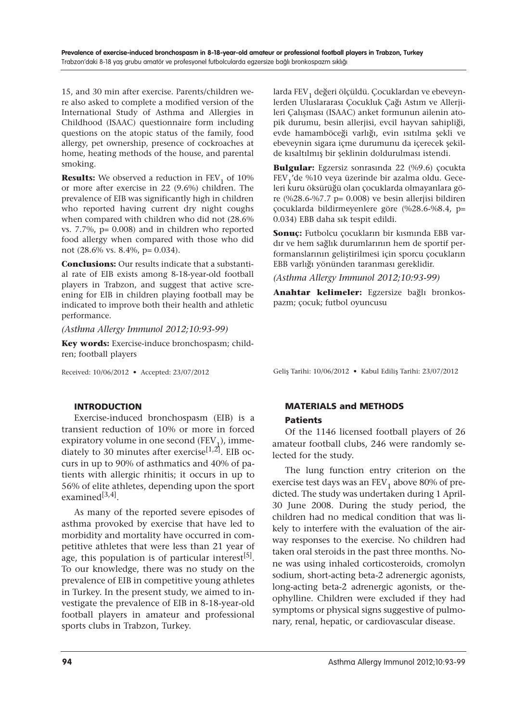15, and 30 min after exercise. Parents/children were also asked to complete a modified version of the International Study of Asthma and Allergies in Childhood (ISAAC) questionnaire form including questions on the atopic status of the family, food allergy, pet ownership, presence of cockroaches at home, heating methods of the house, and parental smoking.

**Results:** We observed a reduction in  $FEV<sub>1</sub>$  of  $10\%$ or more after exercise in 22 (9.6%) children. The prevalence of EIB was significantly high in children who reported having current dry night coughs when compared with children who did not (28.6% vs. 7.7%, p= 0.008) and in children who reported food allergy when compared with those who did not (28.6% vs. 8.4%, p= 0.034).

**Conclusions:** Our results indicate that a substantial rate of EIB exists among 8-18-year-old football players in Trabzon, and suggest that active screening for EIB in children playing football may be indicated to improve both their health and athletic performance.

*(Asthma Allergy Immunol 2012;10:93-99)*

**Key words:** Exercise-induce bronchospasm; children; football players

Received: 10/06/2012 • Accepted: 23/07/2012

larda FEV<sub>1</sub> değeri ölçüldü. Çocuklardan ve ebeveynlerden Uluslararası Çocukluk Çağı Astım ve Allerjileri Çalışması (ISAAC) anket formunun ailenin atopik durumu, besin allerjisi, evcil hayvan sahipliği, evde hamamböceği varlığı, evin ısıtılma şekli ve ebeveynin sigara içme durumunu da içerecek şekilde kısaltılmış bir şeklinin doldurulması istendi.

**Bulgular:** Egzersiz sonrasında 22 (%9.6) çocukta FEV<sub>1</sub>'de %10 veya üzerinde bir azalma oldu. Geceleri kuru öksürüğü olan çocuklarda olmayanlara göre (%28.6-%7.7 p=  $0.008$ ) ve besin allerjisi bildiren çocuklarda bildirmeyenlere göre (%28.6-%8.4, p= 0.034) EBB daha sık tespit edildi.

**Sonuç:** Futbolcu çocukların bir kısmında EBB vardır ve hem sağlık durumlarının hem de sportif performanslarının geliştirilmesi için sporcu çocukların EBB varlığı yönünden taranması gereklidir.

*(Asthma Allergy Immunol 2012;10:93-99)*

**Anahtar kelimeler:** Egzersize bağlı bronkospazm; çocuk; futbol oyuncusu

Geliş Tarihi: 10/06/2012 • Kabul Ediliş Tarihi: 23/07/2012

# INTRODUCTION

Exercise-induced bronchospasm (EIB) is a transient reduction of 10% or more in forced expiratory volume in one second  $(FEV_1)$ , immediately to 30 minutes after exercise<sup>[1,2]</sup>. EIB occurs in up to 90% of asthmatics and 40% of patients with allergic rhinitis; it occurs in up to 56% of elite athletes, depending upon the sport examined $^{[3,4]}$ .

As many of the reported severe episodes of asthma provoked by exercise that have led to morbidity and mortality have occurred in competitive athletes that were less than 21 year of age, this population is of particular interest $^{[5]}$ . To our knowledge, there was no study on the prevalence of EIB in competitive young athletes in Turkey. In the present study, we aimed to investigate the prevalence of EIB in 8-18-year-old football players in amateur and professional sports clubs in Trabzon, Turkey.

# MATERIALS and METHODS Patients

Of the 1146 licensed football players of 26 amateur football clubs, 246 were randomly selected for the study.

The lung function entry criterion on the exercise test days was an  $FEV<sub>1</sub>$  above 80% of predicted. The study was undertaken during 1 April-30 June 2008. During the study period, the children had no medical condition that was likely to interfere with the evaluation of the airway responses to the exercise. No children had taken oral steroids in the past three months. None was using inhaled corticosteroids, cromolyn sodium, short-acting beta-2 adrenergic agonists, long-acting beta-2 adrenergic agonists, or theophylline. Children were excluded if they had symptoms or physical signs suggestive of pulmonary, renal, hepatic, or cardiovascular disease.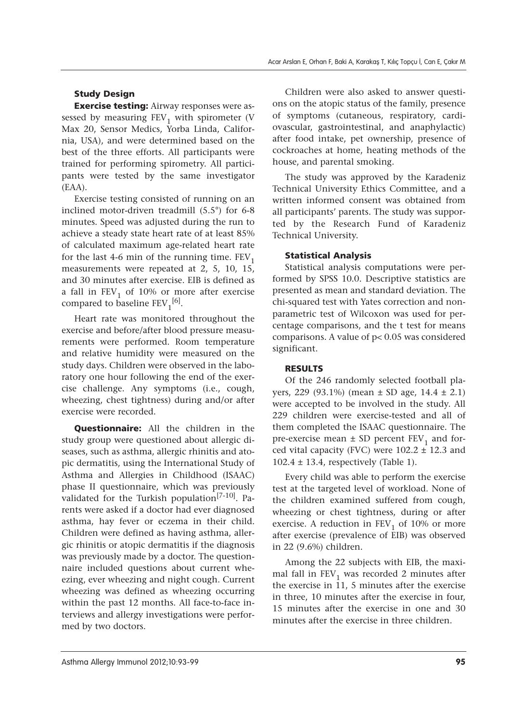## Study Design

**Exercise testing:** Airway responses were assessed by measuring  $FEV<sub>1</sub>$  with spirometer (V Max 20, Sensor Medics, Yorba Linda, California, USA), and were determined based on the best of the three efforts. All participants were trained for performing spirometry. All participants were tested by the same investigator (EAA).

Exercise testing consisted of running on an inclined motor-driven treadmill (5.5°) for 6-8 minutes. Speed was adjusted during the run to achieve a steady state heart rate of at least 85% of calculated maximum age-related heart rate for the last 4-6 min of the running time.  $FEV<sub>1</sub>$ measurements were repeated at 2, 5, 10, 15, and 30 minutes after exercise. EIB is defined as a fall in  $FEV<sub>1</sub>$  of 10% or more after exercise compared to baseline  $FEV_1^{[6]}$ .

Heart rate was monitored throughout the exercise and before/after blood pressure measurements were performed. Room temperature and relative humidity were measured on the study days. Children were observed in the laboratory one hour following the end of the exercise challenge. Any symptoms (i.e., cough, wheezing, chest tightness) during and/or after exercise were recorded.

**Questionnaire:** All the children in the study group were questioned about allergic diseases, such as asthma, allergic rhinitis and atopic dermatitis, using the International Study of Asthma and Allergies in Childhood (ISAAC) phase II questionnaire, which was previously validated for the Turkish population<sup>[7-10]</sup>. Parents were asked if a doctor had ever diagnosed asthma, hay fever or eczema in their child. Children were defined as having asthma, allergic rhinitis or atopic dermatitis if the diagnosis was previously made by a doctor. The questionnaire included questions about current wheezing, ever wheezing and night cough. Current wheezing was defined as wheezing occurring within the past 12 months. All face-to-face interviews and allergy investigations were performed by two doctors.

Children were also asked to answer questions on the atopic status of the family, presence of symptoms (cutaneous, respiratory, cardiovascular, gastrointestinal, and anaphylactic) after food intake, pet ownership, presence of cockroaches at home, heating methods of the house, and parental smoking.

The study was approved by the Karadeniz Technical University Ethics Committee, and a written informed consent was obtained from all participants' parents. The study was supported by the Research Fund of Karadeniz Technical University.

#### Statistical Analysis

Statistical analysis computations were performed by SPSS 10.0. Descriptive statistics are presented as mean and standard deviation. The chi-squared test with Yates correction and nonparametric test of Wilcoxon was used for percentage comparisons, and the t test for means comparisons. A value of p< 0.05 was considered significant.

#### RESULTS

Of the 246 randomly selected football players, 229 (93.1%) (mean  $\pm$  SD age, 14.4  $\pm$  2.1) were accepted to be involved in the study. All 229 children were exercise-tested and all of them completed the ISAAC questionnaire. The pre-exercise mean  $\pm$  SD percent FEV<sub>1</sub> and forced vital capacity (FVC) were  $102.2 \pm 12.3$  and  $102.4 \pm 13.4$ , respectively (Table 1).

Every child was able to perform the exercise test at the targeted level of workload. None of the children examined suffered from cough, wheezing or chest tightness, during or after exercise. A reduction in  $FEV<sub>1</sub>$  of 10% or more after exercise (prevalence of EIB) was observed in 22 (9.6%) children.

Among the 22 subjects with EIB, the maximal fall in  $FEV<sub>1</sub>$  was recorded 2 minutes after the exercise in 11, 5 minutes after the exercise in three, 10 minutes after the exercise in four, 15 minutes after the exercise in one and 30 minutes after the exercise in three children.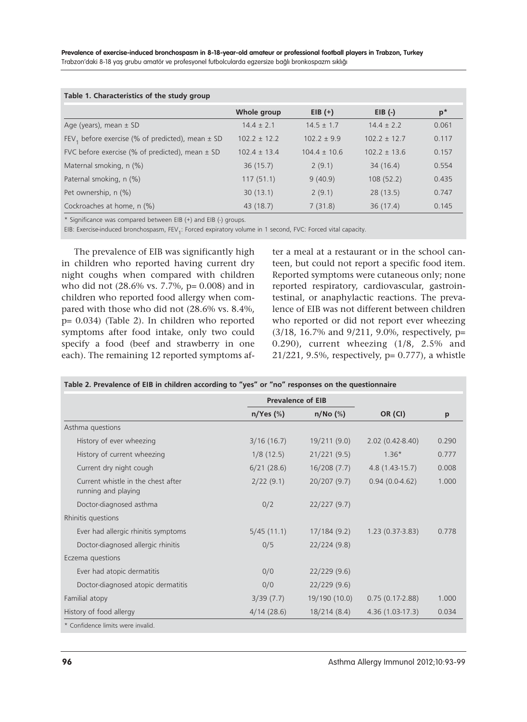| Table 1. Characteristics of the study group                      |                  |                  |                  |       |  |  |  |
|------------------------------------------------------------------|------------------|------------------|------------------|-------|--|--|--|
|                                                                  | Whole group      | $EIB (+)$        | $EIB$ $(-)$      | $p^*$ |  |  |  |
| Age (years), mean $\pm$ SD                                       | $14.4 \pm 2.1$   | $14.5 \pm 1.7$   | $14.4 \pm 2.2$   | 0.061 |  |  |  |
| FEV <sub>1</sub> before exercise (% of predicted), mean $\pm$ SD | $102.2 \pm 12.2$ | $102.2 \pm 9.9$  | $102.2 \pm 12.7$ | 0.117 |  |  |  |
| FVC before exercise (% of predicted), mean $\pm$ SD              | $102.4 \pm 13.4$ | $104.4 \pm 10.6$ | $102.2 \pm 13.6$ | 0.157 |  |  |  |
| Maternal smoking, n (%)                                          | 36(15.7)         | 2(9.1)           | 34(16.4)         | 0.554 |  |  |  |
| Paternal smoking, n (%)                                          | 117(51.1)        | 9(40.9)          | 108(52.2)        | 0.435 |  |  |  |
| Pet ownership, n (%)                                             | 30(13.1)         | 2(9.1)           | 28(13.5)         | 0.747 |  |  |  |
| Cockroaches at home, n (%)                                       | 43 (18.7)        | 7(31.8)          | 36(17.4)         | 0.145 |  |  |  |

#### **Table 1. Characteristics of the study group**

\* Significance was compared between EIB (+) and EIB (-) groups.

EIB: Exercise-induced bronchospasm, FEV<sub>1</sub>: Forced expiratory volume in 1 second, FVC: Forced vital capacity.

The prevalence of EIB was significantly high in children who reported having current dry night coughs when compared with children who did not (28.6% vs. 7.7%, p= 0.008) and in children who reported food allergy when compared with those who did not (28.6% vs. 8.4%, p= 0.034) (Table 2). In children who reported symptoms after food intake, only two could specify a food (beef and strawberry in one each). The remaining 12 reported symptoms after a meal at a restaurant or in the school canteen, but could not report a specific food item. Reported symptoms were cutaneous only; none reported respiratory, cardiovascular, gastrointestinal, or anaphylactic reactions. The prevalence of EIB was not different between children who reported or did not report ever wheezing (3/18, 16.7% and 9/211, 9.0%, respectively, p= 0.290), current wheezing (1/8, 2.5% and 21/221, 9.5%, respectively, p= 0.777), a whistle

|                                                           |             | <b>Prevalence of EIB</b> |                     |       |
|-----------------------------------------------------------|-------------|--------------------------|---------------------|-------|
|                                                           | $n/Yes$ (%) | $n/No$ $(\%)$            | OR (CI)             | p     |
| Asthma questions                                          |             |                          |                     |       |
| History of ever wheezing                                  | 3/16(16.7)  | 19/211(9.0)              | $2.02(0.42 - 8.40)$ | 0.290 |
| History of current wheezing                               | 1/8(12.5)   | 21/221(9.5)              | $1.36*$             | 0.777 |
| Current dry night cough                                   | 6/21(28.6)  | 16/208(7.7)              | $4.8(1.43-15.7)$    | 0.008 |
| Current whistle in the chest after<br>running and playing | 2/22(9.1)   | 20/207(9.7)              | $0.94(0.0-4.62)$    | 1.000 |
| Doctor-diagnosed asthma                                   | 0/2         | 22/227(9.7)              |                     |       |
| Rhinitis questions                                        |             |                          |                     |       |
| Ever had allergic rhinitis symptoms                       | 5/45(11.1)  | 17/184(9.2)              | $1.23(0.37-3.83)$   | 0.778 |
| Doctor-diagnosed allergic rhinitis                        | 0/5         | 22/224(9.8)              |                     |       |
| Eczema questions                                          |             |                          |                     |       |
| Ever had atopic dermatitis                                | 0/0         | 22/229(9.6)              |                     |       |
| Doctor-diagnosed atopic dermatitis                        | 0/0         | 22/229(9.6)              |                     |       |
| Familial atopy                                            | 3/39(7.7)   | 19/190 (10.0)            | $0.75(0.17-2.88)$   | 1.000 |
| History of food allergy                                   | 4/14(28.6)  | 18/214(8.4)              | $4.36(1.03-17.3)$   | 0.034 |
| * Confidence limits were invalid.                         |             |                          |                     |       |

| Table 2. Prevalence of EIB in children according to "yes" or "no" responses on the questionnaire |  |  |  |  |
|--------------------------------------------------------------------------------------------------|--|--|--|--|
|--------------------------------------------------------------------------------------------------|--|--|--|--|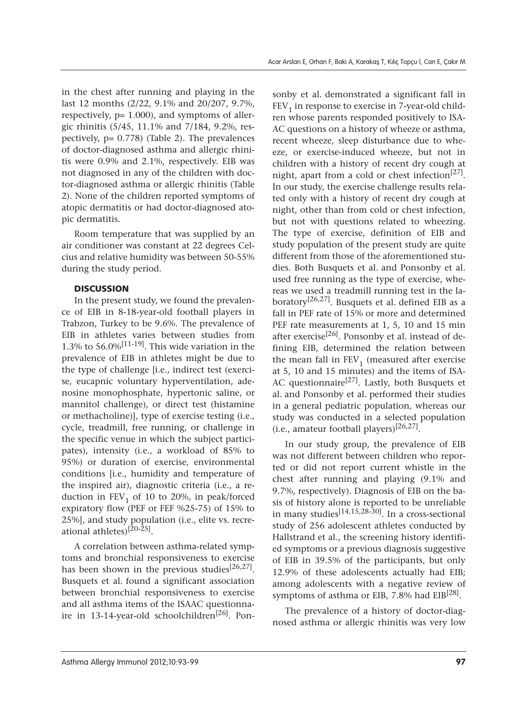in the chest after running and playing in the last 12 months (2/22, 9.1% and 20/207, 9.7%, respectively,  $p= 1.000$ ), and symptoms of allergic rhinitis (5/45, 11.1% and 7/184, 9.2%, respectively, p= 0.778) (Table 2). The prevalences of doctor-diagnosed asthma and allergic rhinitis were 0.9% and 2.1%, respectively. EIB was not diagnosed in any of the children with doctor-diagnosed asthma or allergic rhinitis (Table 2). None of the children reported symptoms of atopic dermatitis or had doctor-diagnosed atopic dermatitis.

Room temperature that was supplied by an air conditioner was constant at 22 degrees Celcius and relative humidity was between 50-55% during the study period.

## **DISCUSSION**

In the present study, we found the prevalence of EIB in 8-18-year-old football players in Trabzon, Turkey to be 9.6%. The prevalence of EIB in athletes varies between studies from 1.3% to  $56.0\%$ <sup>[11-19]</sup>. This wide variation in the prevalence of EIB in athletes might be due to the type of challenge [i.e., indirect test (exercise, eucapnic voluntary hyperventilation, adenosine monophosphate, hypertonic saline, or mannitol challenge), or direct test (histamine or methacholine)], type of exercise testing (i.e., cycle, treadmill, free running, or challenge in the specific venue in which the subject participates), intensity (i.e., a workload of 85% to 95%) or duration of exercise, environmental conditions [i.e., humidity and temperature of the inspired air), diagnostic criteria (i.e., a reduction in  $FEV<sub>1</sub>$  of 10 to 20%, in peak/forced expiratory flow (PEF or FEF %25-75) of 15% to 25%], and study population (i.e., elite vs. recreational athletes)<sup>[20-25]</sup>.

A correlation between asthma-related symptoms and bronchial responsiveness to exercise has been shown in the previous studies<sup>[26,27]</sup>. Busquets et al. found a significant association between bronchial responsiveness to exercise and all asthma items of the ISAAC questionnaire in 13-14-year-old schoolchildren<sup>[26]</sup>. Ponsonby et al. demonstrated a significant fall in  $FEV<sub>1</sub>$  in response to exercise in 7-year-old children whose parents responded positively to ISA-AC questions on a history of wheeze or asthma, recent wheeze, sleep disturbance due to wheeze, or exercise-induced wheeze, but not in children with a history of recent dry cough at night, apart from a cold or chest infection<sup>[27]</sup>. In our study, the exercise challenge results related only with a history of recent dry cough at night, other than from cold or chest infection, but not with questions related to wheezing. The type of exercise, definition of EIB and study population of the present study are quite different from those of the aforementioned studies. Both Busquets et al. and Ponsonby et al. used free running as the type of exercise, whereas we used a treadmill running test in the laboratory<sup>[26,27]</sup>. Busquets et al. defined EIB as a fall in PEF rate of 15% or more and determined PEF rate measurements at 1, 5, 10 and 15 min after exercise<sup>[26]</sup>. Ponsonby et al. instead of defining EIB, determined the relation between the mean fall in  $FEV<sub>1</sub>$  (measured after exercise at 5, 10 and 15 minutes) and the items of ISA-AC questionnaire<sup>[27]</sup>. Lastly, both Busquets et al. and Ponsonby et al. performed their studies in a general pediatric population, whereas our study was conducted in a selected population (i.e., amateur football players)<sup>[26,27]</sup>.

In our study group, the prevalence of EIB was not different between children who reported or did not report current whistle in the chest after running and playing (9.1% and 9.7%, respectively). Diagnosis of EIB on the basis of history alone is reported to be unreliable in many studies[14,15,28-30]. In a cross-sectional study of 256 adolescent athletes conducted by Hallstrand et al., the screening history identified symptoms or a previous diagnosis suggestive of EIB in 39.5% of the participants, but only 12.9% of these adolescents actually had EIB; among adolescents with a negative review of symptoms of asthma or EIB, 7.8% had  $EIB^{[28]}$ .

The prevalence of a history of doctor-diagnosed asthma or allergic rhinitis was very low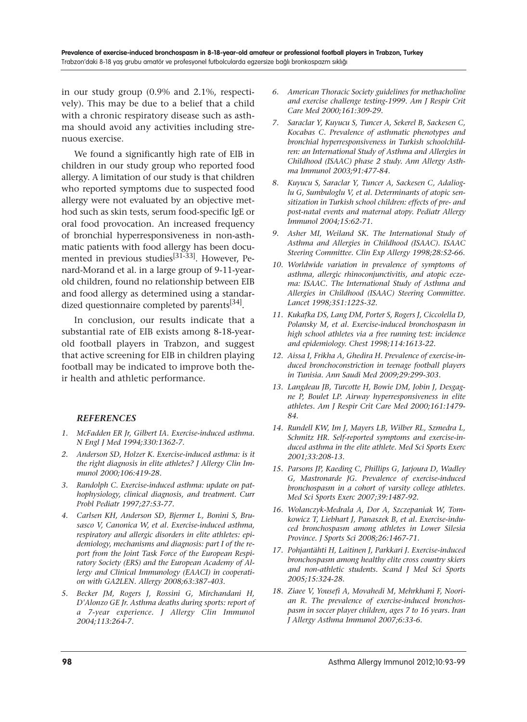in our study group (0.9% and 2.1%, respectively). This may be due to a belief that a child with a chronic respiratory disease such as asthma should avoid any activities including strenuous exercise.

We found a significantly high rate of EIB in children in our study group who reported food allergy. A limitation of our study is that children who reported symptoms due to suspected food allergy were not evaluated by an objective method such as skin tests, serum food-specific IgE or oral food provocation. An increased frequency of bronchial hyperresponsiveness in non-asthmatic patients with food allergy has been documented in previous studies<sup>[31-33]</sup>. However, Penard-Morand et al. in a large group of 9-11-yearold children, found no relationship between EIB and food allergy as determined using a standardized questionnaire completed by parents<sup>[34]</sup>.

In conclusion, our results indicate that a substantial rate of EIB exists among 8-18-yearold football players in Trabzon, and suggest that active screening for EIB in children playing football may be indicated to improve both their health and athletic performance.

## *REFERENCES*

- *1. McFadden ER Jr, Gilbert IA. Exercise-induced asthma. N Engl J Med 1994;330:1362-7.*
- *2. Anderson SD, Holzer K. Exercise-induced asthma: is it the right diagnosis in elite athletes? J Allergy Clin Immunol 2000;106:419-28.*
- *3. Randolph C. Exercise-induced asthma: update on pathophysiology, clinical diagnosis, and treatment. Curr Probl Pediatr 1997;27:53-77.*
- *4. Carlsen KH, Anderson SD, Bjermer L, Bonini S, Brusasco V, Canonica W, et al. Exercise-induced asthma, respiratory and allergic disorders in elite athletes: epidemiology, mechanisms and diagnosis: part I of the report from the Joint Task Force of the European Respiratory Society (ERS) and the European Academy of Allergy and Clinical Immunology (EAACI) in cooperation with GA2LEN. Allergy 2008;63:387-403.*
- *5. Becker JM, Rogers J, Rossini G, Mirchandani H, D'Alonzo GE Jr. Asthma deaths during sports: report of a 7-year experience. J Allergy Clin Immunol 2004;113:264-7.*
- *6. American Thoracic Society guidelines for methacholine and exercise challenge testing-1999. Am J Respir Crit Care Med 2000;161:309-29.*
- *7. Saraclar Y, Kuyucu S, Tuncer A, Sekerel B, Sackesen C, Kocabas C. Prevalence of asthmatic phenotypes and bronchial hyperresponsiveness in Turkish schoolchildren: an International Study of Asthma and Allergies in Childhood (ISAAC) phase 2 study. Ann Allergy Asthma Immunol 2003;91:477-84.*
- *8. Kuyucu S, Saraclar Y, Tuncer A, Sackesen C, Adalioglu G, Sumbuloglu V, et al. Determinants of atopic sensitization in Turkish school children: effects of pre- and post-natal events and maternal atopy. Pediatr Allergy Immunol 2004;15:62-71.*
- *9. Asher MI, Weiland SK. The International Study of Asthma and Allergies in Childhood (ISAAC). ISAAC Steering Committee. Clin Exp Allergy 1998;28:52-66.*
- *10. Worldwide variation in prevalence of symptoms of asthma, allergic rhinoconjunctivitis, and atopic eczema: ISAAC. The International Study of Asthma and Allergies in Childhood (ISAAC) Steering Committee. Lancet 1998;351:1225-32.*
- *11. Kukafka DS, Lang DM, Porter S, Rogers J, Ciccolella D, Polansky M, et al. Exercise-induced bronchospasm in high school athletes via a free running test: incidence and epidemiology. Chest 1998;114:1613-22.*
- *12. Aissa I, Frikha A, Ghedira H. Prevalence of exercise-induced bronchoconstriction in teenage football players in Tunisia. Ann Saudi Med 2009;29:299-303.*
- *13. Langdeau JB, Turcotte H, Bowie DM, Jobin J, Desgagne P, Boulet LP. Airway hyperresponsiveness in elite athletes. Am J Respir Crit Care Med 2000;161:1479- 84.*
- *14. Rundell KW, Im J, Mayers LB, Wilber RL, Szmedra L, Schmitz HR. Self-reported symptoms and exercise-induced asthma in the elite athlete. Med Sci Sports Exerc 2001;33:208-13.*
- *15. Parsons JP, Kaeding C, Phillips G, Jarjoura D, Wadley G, Mastronarde JG. Prevalence of exercise-induced bronchospasm in a cohort of varsity college athletes. Med Sci Sports Exerc 2007;39:1487-92.*
- *16. Wolanczyk-Medrala A, Dor A, Szczepaniak W, Tomkowicz T, Liebhart J, Panaszek B, et al. Exercise-induced bronchospasm among athletes in Lower Silesia Province. J Sports Sci 2008;26:1467-71.*
- *17. Pohjantähti H, Laitinen J, Parkkari J. Exercise-induced bronchospasm among healthy elite cross country skiers and non-athletic students. Scand J Med Sci Sports 2005;15:324-28.*
- *18. Ziaee V, Yousefi A, Movahedi M, Mehrkhani F, Noorian R. The prevalence of exercise-induced bronchospasm in soccer player children, ages 7 to 16 years. Iran J Allergy Asthma Immunol 2007;6:33-6.*